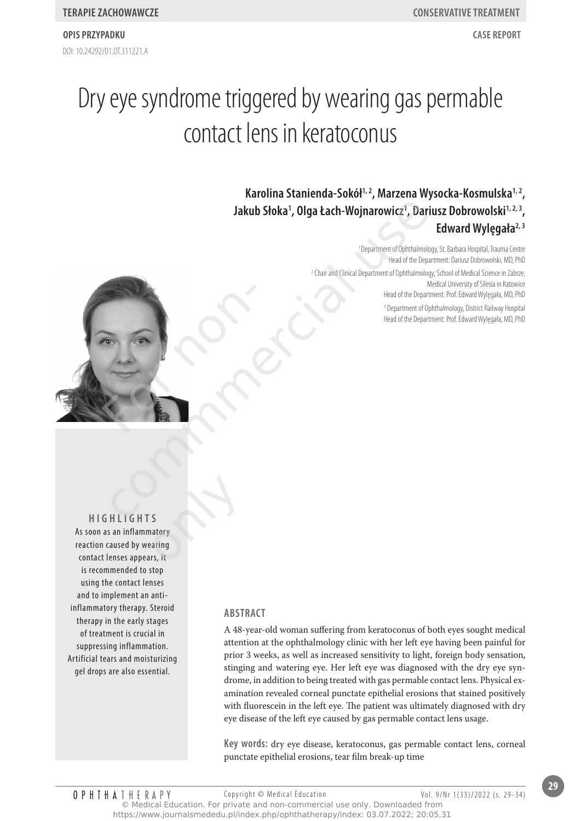# Dry eye syndrome triggered by wearing gas permable contact lens in keratoconus

# **karolina stanienda-sokół1, 2, marzena Wysocka-kosmulska1, 2 , Jakub słoka<sup>1</sup> , Olga Łach-Wojnarowicz<sup>1</sup> , dariusz dobrowolski1, 2, 3 , Edward Wylęgała2, 3**

<sup>1</sup> Department of Ophthalmology, St. Barbara Hospital, Trauma Centre Head of the Department: Dariusz Dobrowolski, MD, PhD

<sup>2</sup> Chair and Clinical Department of Ophthalmology, School of Medical Science in Zabrze, Medical University of Silesia in Katowice Head of the Department: Prof. Edward Wylęgała, MD, PhD

3 Department of Ophthalmology, District Railway Hospital Head of the Department: Prof. Edward Wylęgała, MD, PhD



**HIgHlIgHTs** As soon as an inflammatory reaction caused by wearing contact lenses appears, it is recommended to stop using the contact lenses and to implement an antiinflammatory therapy. Steroid therapy in the early stages of treatment is crucial in suppressing inflammation. Artificial tears and moisturizing gel drops are also essential. S<br>
S<br>
matory<br>
aring<br>
trs, it

### **AbsTRACT**

A 48-year-old woman suffering from keratoconus of both eyes sought medical attention at the ophthalmology clinic with her left eye having been painful for prior 3 weeks, as well as increased sensitivity to light, foreign body sensation, stinging and watering eye. Her left eye was diagnosed with the dry eye syndrome, in addition to being treated with gas permable contact lens. Physical examination revealed corneal punctate epithelial erosions that stained positively with fluorescein in the left eye. The patient was ultimately diagnosed with dry eye disease of the left eye caused by gas permable contact lens usage.

**key words:** dry eye disease, keratoconus, gas permable contact lens, corneal punctate epithelial erosions, tear film break-up time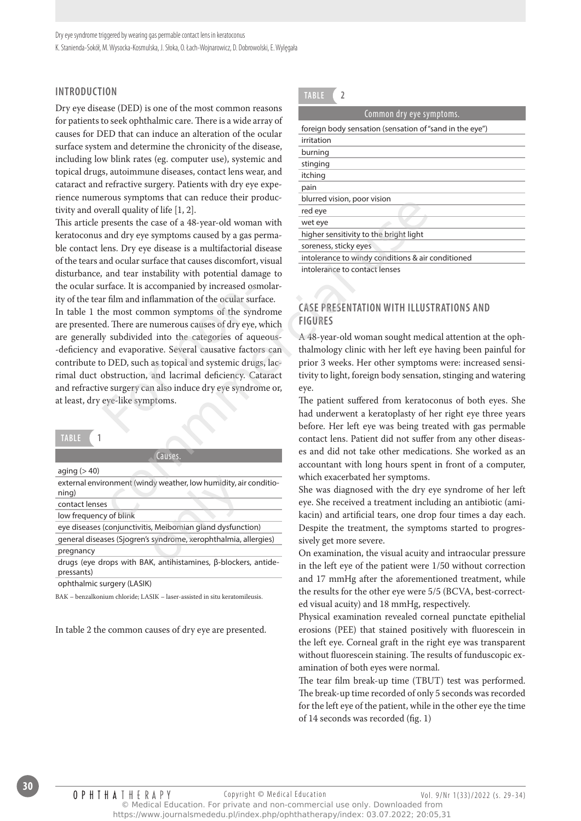# **InTROduCTIOn**

Dry eye disease (DED) is one of the most common reasons for patients to seek ophthalmic care. There is a wide array of causes for DED that can induce an alteration of the ocular surface system and determine the chronicity of the disease, including low blink rates (eg. computer use), systemic and topical drugs, autoimmune diseases, contact lens wear, and cataract and refractive surgery. Patients with dry eye experience numerous symptoms that can reduce their productivity and overall quality of life [1, 2].

This article presents the case of a 48-year-old woman with keratoconus and dry eye symptoms caused by a gas permable contact lens. Dry eye disease is a multifactorial disease of the tears and ocular surface that causes discomfort, visual disturbance, and tear instability with potential damage to the ocular surface. It is accompanied by increased osmolarity of the tear film and inflammation of the ocular surface.

In table 1 the most common symptoms of the syndrome are presented. There are numerous causes of dry eye, which are generally subdivided into the categories of aqueous- -deficiency and evaporative. Several causative factors can contribute to DED, such as topical and systemic drugs, lacrimal duct obstruction, and lacrimal deficiency. Cataract and refractive surgery can also induce dry eye syndrome or, at least, dry eye-like symptoms. urface. It is accompanied by increased os<br>or film and inflammation of the ocular sui<br>he most common symptoms of the syn<br>d. There are numerous causes of dry eye,<br>y subdivided into the categories of aq<br>and evaporative. Sever The partiest state and reaction, poor vision and quality of life [1, 2].<br>
The developed and divergent and divergent and divergent and divergent and divergent and divergent and divergent and the state of a 48-year-old woman

| 28 D |  |  |
|------|--|--|

| Causes.                                                                             |
|-------------------------------------------------------------------------------------|
| aging $(>40)$                                                                       |
| external environment (windy weather, low humidity, air conditio-<br>ning)           |
| contact lenses                                                                      |
| low frequency of blink                                                              |
| eye diseases (conjunctivitis, Meibomian gland dysfunction)                          |
| general diseases (Sjogren's syndrome, xerophthalmia, allergies)                     |
| pregnancy                                                                           |
| drugs (eye drops with BAK, antihistamines, $\beta$ -blockers, antide-<br>pressants) |
| antalation is a want to ACIIA                                                       |

ophthalmic surgery (LASIK)

BAK – benzalkonium chloride; LASIK – laser-assisted in situ keratomileusis.

In table 2 the common causes of dry eye are presented.



| Common dry eye symptoms.                                |
|---------------------------------------------------------|
| foreign body sensation (sensation of "sand in the eye") |
| irritation                                              |
| burning                                                 |
| stinging                                                |
| itching                                                 |
| pain                                                    |
| blurred vision, poor vision                             |
| red eye                                                 |
| wet eye                                                 |
| higher sensitivity to the bright light                  |
| soreness, sticky eyes                                   |
| intolerance to windy conditions & air conditioned       |
| きょうしきょうかい かいしょう しょうせいしょ おんしょうし                          |

intolerance to contact lenses

# **CAsE PREsEnTATIOn WITH IllusTRATIOns And fIguREs**

A 48-year-old woman sought medical attention at the ophthalmology clinic with her left eye having been painful for prior 3 weeks. Her other symptoms were: increased sensitivity to light, foreign body sensation, stinging and watering eye.

The patient suffered from keratoconus of both eyes. She had underwent a keratoplasty of her right eye three years before. Her left eye was being treated with gas permable contact lens. Patient did not suffer from any other diseases and did not take other medications. She worked as an accountant with long hours spent in front of a computer, which exacerbated her symptoms.

She was diagnosed with the dry eye syndrome of her left eye. She received a treatment including an antibiotic (amikacin) and artificial tears, one drop four times a day each. Despite the treatment, the symptoms started to progressively get more severe.

On examination, the visual acuity and intraocular pressure in the left eye of the patient were 1/50 without correction and 17 mmHg after the aforementioned treatment, while the results for the other eye were 5/5 (BCVA, best-corrected visual acuity) and 18 mmHg, respectively.

Physical examination revealed corneal punctate epithelial erosions (PEE) that stained positively with fluorescein in the left eye. Corneal graft in the right eye was transparent without fluorescein staining. The results of funduscopic examination of both eyes were normal.

The tear film break-up time (TBUT) test was performed. The break-up time recorded of only 5 seconds was recorded for the left eye of the patient, while in the other eye the time of 14 seconds was recorded (fig. 1)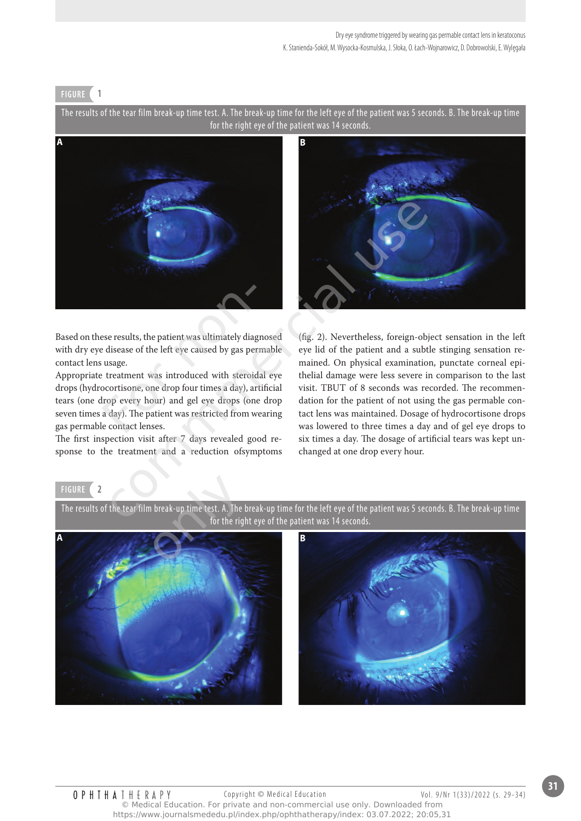#### **fIguRE 1**

The results of the tear film break-up time test. A. The break-up time for the left eye of the patient was 5 seconds. B. The break-up time for the right eye of the patient was 14 seconds.



Based on these results, the patient was ultimately diagnosed with dry eye disease of the left eye caused by gas permable contact lens usage.

Appropriate treatment was introduced with steroidal eye drops (hydrocortisone, one drop four times a day), artificial tears (one drop every hour) and gel eye drops (one drop seven times a day). The patient was restricted from wearing gas permable contact lenses. ese results, the patient was ultimately diaged<br>is disease of the left eye caused by gas per<br>is usage.<br>treatment was introduced with steroic<br>ocortisone, one drop four times a day), an<br>lrop every hour) and gel eye drops (on<br>

The first inspection visit after 7 days revealed good response to the treatment and a reduction ofsymptoms



(fig. 2). Nevertheless, foreign-object sensation in the left eye lid of the patient and a subtle stinging sensation remained. On physical examination, punctate corneal epithelial damage were less severe in comparison to the last visit. TBUT of 8 seconds was recorded. The recommendation for the patient of not using the gas permable contact lens was maintained. Dosage of hydrocortisone drops was lowered to three times a day and of gel eye drops to six times a day. The dosage of artificial tears was kept unchanged at one drop every hour.

#### **fIguRE 2**

The results of the tear film break-up time test. A. The break-up time for the left eye of the patient was 5 seconds. B. The break-up time for the right eye of the patient was 14 seconds.



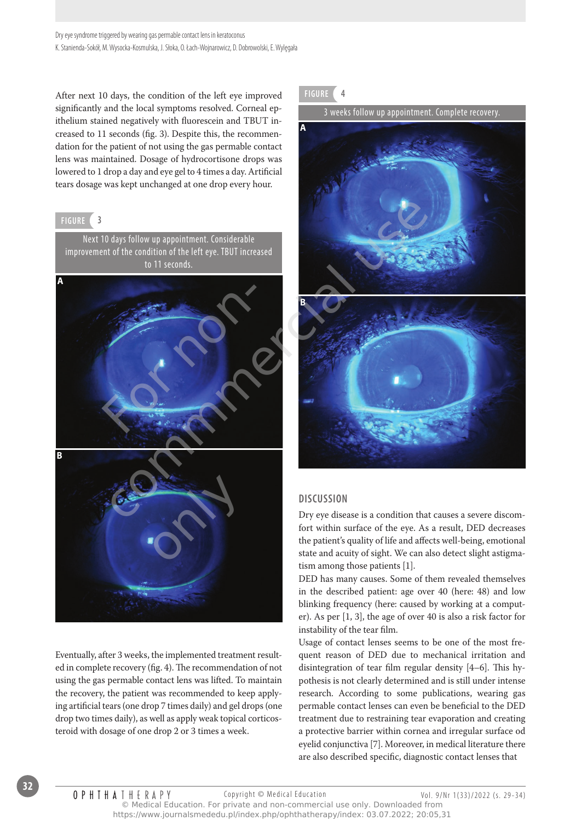After next 10 days, the condition of the left eye improved significantly and the local symptoms resolved. Corneal epithelium stained negatively with fluorescein and TBUT increased to 11 seconds (fig. 3). Despite this, the recommendation for the patient of not using the gas permable contact lens was maintained. Dosage of hydrocortisone drops was lowered to 1 drop a day and eye gel to 4 times a day. Artificial tears dosage was kept unchanged at one drop every hour.

## **fIguRE 3**

Next 10 days follow up appointment. Considerable improvement of the condition of the left eye. TBUT increased to 11 seconds.



Eventually, after 3 weeks, the implemented treatment resulted in complete recovery (fig. 4). The recommendation of not using the gas permable contact lens was lifted. To maintain the recovery, the patient was recommended to keep applying artificial tears (one drop 7 times daily) and gel drops (one drop two times daily), as well as apply weak topical corticosteroid with dosage of one drop 2 or 3 times a week.

**fIguRE 4**

3 weeks follow up appointment. Complete recovery.



# **dIsCussIOn**

Dry eye disease is a condition that causes a severe discomfort within surface of the eye. As a result, DED decreases the patient's quality of life and affects well-being, emotional state and acuity of sight. We can also detect slight astigmatism among those patients [1].

DED has many causes. Some of them revealed themselves in the described patient: age over 40 (here: 48) and low blinking frequency (here: caused by working at a computer). As per [1, 3], the age of over 40 is also a risk factor for instability of the tear film.

Usage of contact lenses seems to be one of the most frequent reason of DED due to mechanical irritation and disintegration of tear film regular density [4–6]. This hypothesis is not clearly determined and is still under intense research. According to some publications, wearing gas permable contact lenses can even be beneficial to the DED treatment due to restraining tear evaporation and creating a protective barrier within cornea and irregular surface od eyelid conjunctiva [7]. Moreover, in medical literature there are also described specific, diagnostic contact lenses that

**OPHIHATHERAPY** Copyright © Medical Education Vol. 9/Nr 1(33)/2022 (s. 29-34) © Medical Education. For private and non-commercial use only. Downloaded from https://www.journalsmededu.pl/index.php/ophthatherapy/index: 03.07.2022; 20:05,31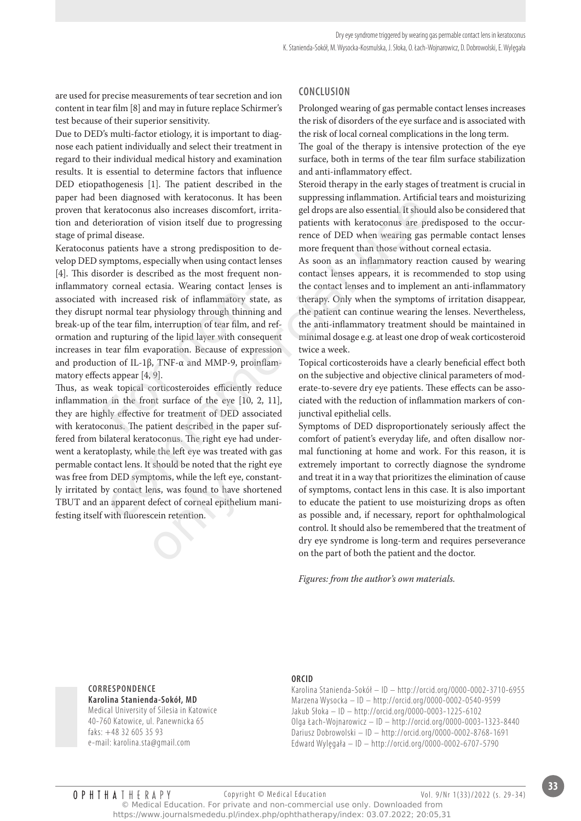are used for precise measurements of tear secretion and ion content in tear film [8] and may in future replace Schirmer's test because of their superior sensitivity.

Due to DED's multi-factor etiology, it is important to diagnose each patient individually and select their treatment in regard to their individual medical history and examination results. It is essential to determine factors that influence DED etiopathogenesis [1]. The patient described in the paper had been diagnosed with keratoconus. It has been proven that keratoconus also increases discomfort, irritation and deterioration of vision itself due to progressing stage of primal disease.

Keratoconus patients have a strong predisposition to develop DED symptoms, especially when using contact lenses [4]. This disorder is described as the most frequent noninflammatory corneal ectasia. Wearing contact lenses is associated with increased risk of inflammatory state, as they disrupt normal tear physiology through thinning and break-up of the tear film, interruption of tear film, and reformation and rupturing of the lipid layer with consequent increases in tear film evaporation. Because of expression and production of IL-1β, TNF-α and MMP-9, proinflammatory effects appear [4, 9]. ry corneal ectasia. Wearing contact levith increased risk of inflammatory st<br>t normal tear physiology through thinnin<br>the tear film, interruption of tear film, a<br>nd rupturing of the lipid layer with conse<br>tear film evapor

Thus, as weak topical corticosteroides efficiently reduce inflammation in the front surface of the eye [10, 2, 11], they are highly effective for treatment of DED associated with keratoconus. The patient described in the paper suffered from bilateral keratoconus. The right eye had underwent a keratoplasty, while the left eye was treated with gas permable contact lens. It should be noted that the right eye was free from DED symptoms, while the left eye, constantly irritated by contact lens, was found to have shortened TBUT and an apparent defect of corneal epithelium manifesting itself with fluorescein retention. En unagnosta wan kelediconina. It also been appressing minamination. Arithicari exerctoconus also increases discomfort, irrita-<br>eratoconus also increases discomfort, irrita-<br>eratoconus are predisposition to there are pred ptoms, while the left eye,<br>ens, was found to have s<br>defect of corneal epithelit<br>cein retention.

# **COnClusIOn**

Prolonged wearing of gas permable contact lenses increases the risk of disorders of the eye surface and is associated with the risk of local corneal complications in the long term.

The goal of the therapy is intensive protection of the eye surface, both in terms of the tear film surface stabilization and anti-inflammatory effect.

Steroid therapy in the early stages of treatment is crucial in suppressing inflammation. Artificial tears and moisturizing gel drops are also essential. It should also be considered that patients with keratoconus are predisposed to the occurrence of DED when wearing gas permable contact lenses more frequent than those without corneal ectasia.

As soon as an inflammatory reaction caused by wearing contact lenses appears, it is recommended to stop using the contact lenses and to implement an anti-inflammatory therapy. Only when the symptoms of irritation disappear, the patient can continue wearing the lenses. Nevertheless, the anti-inflammatory treatment should be maintained in minimal dosage e.g. at least one drop of weak corticosteroid twice a week.

Topical corticosteroids have a clearly beneficial effect both on the subjective and objective clinical parameters of moderate-to-severe dry eye patients. These effects can be associated with the reduction of inflammation markers of conjunctival epithelial cells.

Symptoms of DED disproportionately seriously affect the comfort of patient's everyday life, and often disallow normal functioning at home and work. For this reason, it is extremely important to correctly diagnose the syndrome and treat it in a way that prioritizes the elimination of cause of symptoms, contact lens in this case. It is also important to educate the patient to use moisturizing drops as often as possible and, if necessary, report for ophthalmological control. It should also be remembered that the treatment of dry eye syndrome is long-term and requires perseverance on the part of both the patient and the doctor.

*Figures: from the author's own materials.*

**CORREsPOndEnCE karolina stanienda-sokół, md** Medical University of Silesia in Katowice 40-760 Katowice, ul. Panewnicka 65 faks: +48 32 605 35 93 e-mail: karolina.sta@gmail.com

#### **ORCId**

Karolina Stanienda-Sokół – ID – http://orcid.org/0000-0002-3710-6955 Marzena Wysocka – ID – http://orcid.org/0000-0002-0540-9599 Jakub Słoka – ID – http://orcid.org/0000-0003-1225-6102 Olga Łach-Wojnarowicz – ID – http://orcid.org/0000-0003-1323-8440 Dariusz Dobrowolski – ID – http://orcid.org/0000-0002-8768-1691 Edward Wylęgała – ID – http://orcid.org/0000-0002-6707-5790